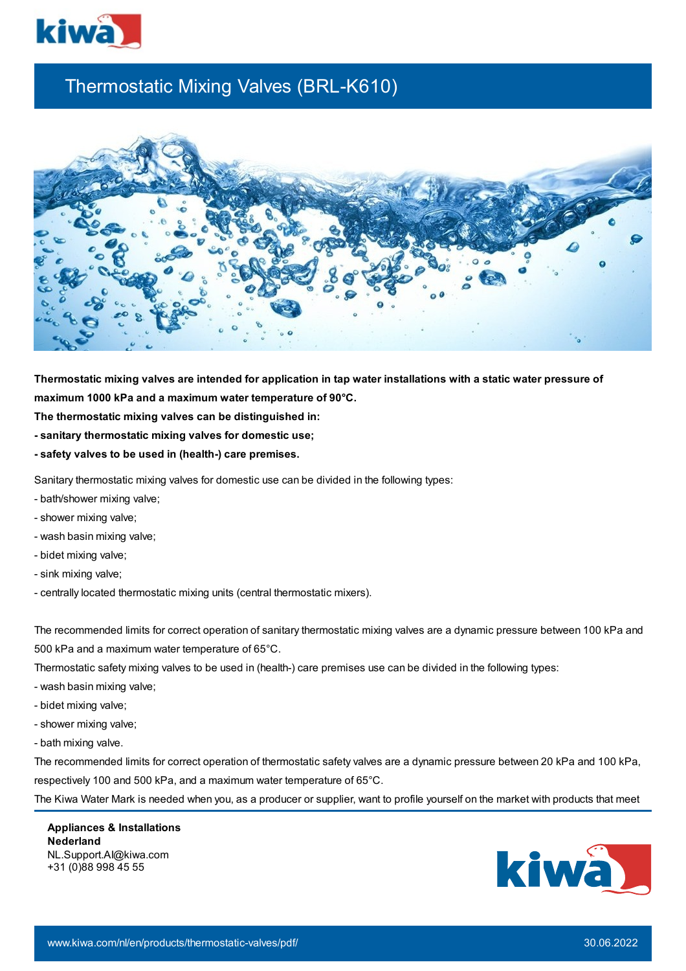

## Thermostatic Mixing Valves (BRL-K610)



Thermostatic mixing valves are intended for application in tap water installations with a static water pressure of **maximum 1000 kPa and a maximum water temperature of 90°C.**

- **The thermostatic mixing valves can be distinguished in:**
- **- sanitary thermostatic mixing valves for domestic use;**
- **- safety valves to be used in (health-) care premises.**

Sanitary thermostatic mixing valves for domestic use can be divided in the following types:

- bath/shower mixing valve;
- shower mixing valve;
- wash basin mixing valve;
- bidet mixing valve;
- sink mixing valve;
- centrally located thermostatic mixing units (central thermostatic mixers).

The recommended limits for correct operation of sanitary thermostatic mixing valves are a dynamic pressure between 100 kPa and 500 kPa and a maximum water temperature of 65°C.

Thermostatic safety mixing valves to be used in (health-) care premises use can be divided in the following types:

- wash basin mixing valve;
- bidet mixing valve;
- shower mixing valve;
- bath mixing valve.

The recommended limits for correct operation of thermostatic safety valves are a dynamic pressure between 20 kPa and 100 kPa, respectively 100 and 500 kPa, and a maximum water temperature of 65°C.

The Kiwa Water Mark is needed when you, as a producer or supplier, want to profile yourself on the market with products that meet

**Appliances & Installations Nederland** NL.Support.AI@kiwa.com +31 (0)88 998 45 55